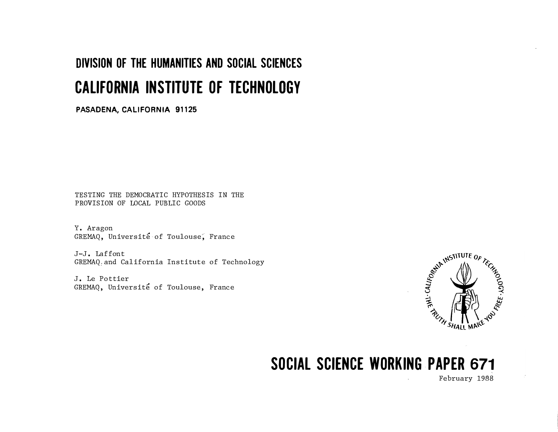# DIVISION OF THE HUMANITIES AND SOCIAL SCIENCES CALIFORNIA INSTITUTE OF TECHNOLOGY

PASADENA, CALIFORNIA 91125

TESTING THE DEMOCRATIC HYPOTHESIS IN THE PROVISION OF LOCAL PUBLIC GOODS

Y. Aragon GREMAQ, Université of Toulouse, France

J-J. Laffont GREMAQ and California Institute of Technology

J. Le Pottier GREMAQ, Université of Toulouse, France



# SOCIAL SCIENCE WORKING PAPER 671

February 1988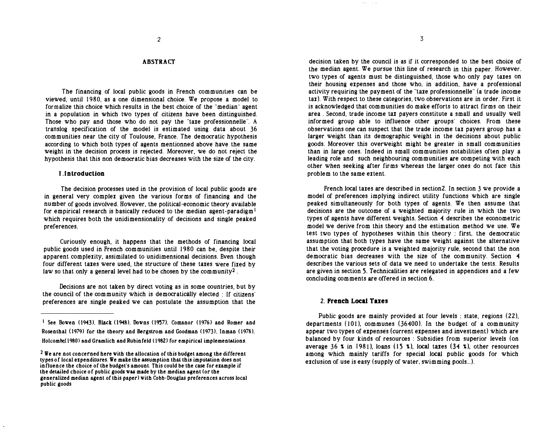# ABSTRACT

The financing of local public goods in French communities can be viewed, until 1980, as a one dimensional choice. We propose a model to formalize this choice which results in the best choice of the "median" agent in a population in Which two types of citizens have been distinguished. Those who pay and those who do not pay the "taxe professionnelle". A translog specification of the model is estimated using data about 36 communities near the city of Toulouse, France. The democratic hypothesis according to which both types of agents mentionned above have the same weight in the decision process is rejected. Moreover, we do not reject the hypothesis that this non democratic bias decreases with the size of the city.

#### I .Introduction

The decision processes used in the provision of local public goods are in general very complex given the various forms of financing and the number of goods involved. However, the political-economic theory available for empirical research is basically reduced to the median agent-paradigm<sup>1</sup> which requires both the unidimensionality of decisions and single peaked preferences.

Curiously enough, it happens that the methods of financing local public goods used in French communities until 1980 can be, despite their apparent complexity, assimilated to unidimensional decisions. Even though four different taxes were used, the structure of these taxes were fixed by law so that only a general level had to be chosen by the community<sup>2</sup>.

Decisions are not taken by direct voting as in some countries, but by the council of the community which is democratically elected : If citizens· preferences are single peaked we can postulate the assumption that the

decision taken by the council is as if it corresponded to the best choice of the median agent. We pursue this line of research in this paper. However. two types of agents must be distinguished, those who only pay taxes on their housing expenses and those who. in addition, have a professional activity requiring the payment of the "taxe professionnelle" (a trade income tax). With respect to these categories, two observations are in order. First it is acknowledged that communities do make efforts to attract firms on their area. Second, trade income tax payers constitute a small and usually well informed group able to influence other groups' choices. From these observations one can suspect that the trade income tax payers group has a larger weight than its demographic weight in the decisions about public goods. Moreover this overweight might be greater in small communities than in large ones. Indeed in small communities notabilities often play a leading role and such neighbouring communities are competing with each other when seeking after firms whereas the larger ones do not face this problem to the same extent.

French local taxes are described in section2. In section 3 we provide a model of preferences implying indirect utility functions which are single peaked simultaneously for both types of agents. We then assume that decisions are the outcome of a weighted majority rule in which the two types of agents have different weights. Section 4 describes the econometric model we derive from this theory and the estimation method we use. We test two types of hypotheses within this theory : first. the democratic assumption that both types have the same weight against the alternative that the voting procedure is a weighted majority rule. second that the non democratic bias decreases with the size of the community. Section 4 describes the various sets of data we need to undertake the tests. Results are given in section S. Technicalities are relegated in appendices and a few concluding comments are offered in section 6.

### 2. French Local Taxes

Public goods are mainly provided at four levels : state, regions (22), departments  $(101)$ , communes  $(36400)$ . In the budget of a community appear two types of expenses (current expenses and investment) which are balanced by four kinds of resources : Subsidies from superior levels (on average 36  $\times$  in 1981), loans (15  $\times$ ), local taxes (34  $\times$ ), other resources among which mainly tariffs for special local public goods for which exclusion of use is easy (supply of water, swimming pools...).

<sup>&</sup>lt;sup>1</sup> See Bowen (1943). Black (1948). Downs (1957). Comanor (1976) and Romer and Rosenthal (1979) for the theory and Bergstrom and Goodman (1973). Inman (1978). Holcombe.(1980) and Gramlich and Rubinfeld (1982) for empirical implementations.

 $2 \nabla$   $2 \nabla$  are not concerned here with the allocation of this budget among the different types of local expenditures. We make the assumption that this imputation does not influence the choice of the budget's amount. This could be the case for example if the detailed choice of public goods was made by the median agent (or the generalized median agent of this paper) with Cobb-Douglas preferences across local public goods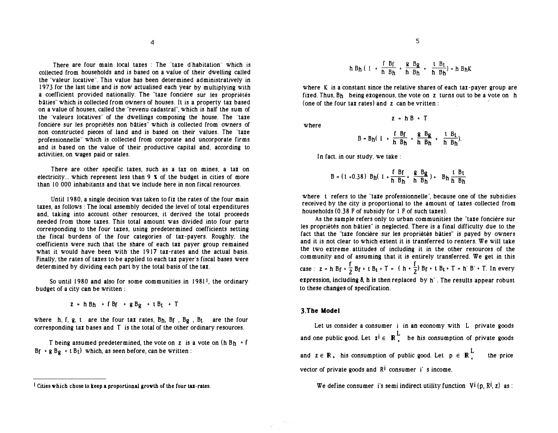4

There are four main local taxes : The "taxe d'habitation" which is coUected from households and is based on a vatue of their dwelling ca1led the "valeur locative". This value has been determined administratively in 1973 for the last time and is now actualised each year by multiplying with a coefficient provided nationally. The "taxe fonciere sur les propriétés bâties" which is collected from owners of houses. It is a property tax based on a value of houses, called the "revenu cadastral", which is half the sum of the "valeurs locatives" of the dwellings composing the house. The "taxe foncière sur les propriétés non bâties" which is collected from owners of non constructed pieces of land and is based on their values. The "taxe professionne11e" which is co11ected from corporate and uncorporate firms and is based on the value of their productive capital and, according to activities, on wages paid or sales.

There are other specific taxes, such as a tax on mines, a tax on electricity... which represent less than  $9 \times$  of the budget in cities of more than IO 000 inhabitants and that we Include here in non fiscal resources.

Until 1980, a single decision was taken to fix the rates of the four main tares, as follows : The local assembly decided the level of total erpenditures and, taking into account other resources, it derived the total proceeds needed from those taxes. This total amount was divided into four parts corresponding to the four taxes, using predetermined coefficients setting the fiscal burdens of the four categories of tax-payers. Roughly, the coefficients were such that the share of each tax payer group remained what it would have been with the 1917 tax-rates and the actual basis. Finally, the rates of taxes to be applied to each tax payer's fiscal bases were determined by dividing each part by the total basis of the tax.

So until 1980 and also for some communities in 1981<sup>1</sup>, the ordinary budget of a city can be written :

 $z = h B_h + f B_f + g B_g + t B_t + T$ 

where h, f, g, t are the four tax rates,  $B_h$ ,  $B_f$ ,  $B_g$ ,  $B_t$  are the four corresponding tax bases and T is the total of the other ordinary resources.

T being assumed predetermined, the vote on z is a vote on  $(h B_h + f)$  $Bf + g Bg + t Bt$  which, as seen before, can be written :

$$
h B_h(1 + \frac{f B_f}{h B_h} + \frac{g B_g}{h B_h} + \frac{t B_t}{h B_h}) = h B_h K
$$

where K is a constant since the relative shares of each tax-payer group are fixed. Thus, Bh being exogenous, the vote on z turns out to be a vote on h (one of the four tax rates) and  $z$  can be vritten:

where

$$
B = B_h(1 + \frac{f}{h} \frac{B_f}{B_h} + \frac{g}{h} \frac{B_g}{B_h} + \frac{t}{h} \frac{B_t}{B_h}).
$$

 $z = hB + T$ 

In fact. in our study. we take :

$$
B = (1 + 0.38) Bh(1 + \frac{f Bf}{h Bh} + \frac{g Bg}{h Bh}) + Bh \frac{t Bt}{h Bh}
$$

where t refers to the "taxe professionnelle", because one of the subsidies received by the city is proportional to the amount or taxes collected from households (0.38 F of subsidy for 1 F of such taxes).

As the sample refers only to urban communities the "taxe foncière sur les propriétés non bâties" is neglected. There is a final difficulty due to the fact that the "taxe foncière sur les propriétés bâties" is payed by owners and it is not clear to which extent it is transferred to renters. We will take the two extreme. attitudes of including it in the other resources of the community and of assuming that it is entirely transferred. We get in this case : z = h B<sub>f</sub> +  $\frac{f}{2}$  B<sub>f</sub> + t B<sub>t</sub> + T = ( h +  $\frac{f}{2}$ ) B<sub>f</sub> + t B<sub>t</sub> + T = h' B' + T. In every expression, including  $\delta$ , h is then replaced by h'. The results appear robust to these changes of specification.

#### 3.Tbe Model

Let us consider a consumer i in an economy with L private goods and one public good. Let  $x^i \in \mathbb{R}^L_+$  be his consumption of private goods and  $z \in \mathbb{R}_+$  his consumption of public good. Let  $p \in \mathbb{R}_+^L$ the price vector of private goods and  $R<sup>i</sup>$  consumer i's income.

We define consumer i's semi indirect utility function  $V^{i}(p, R^{i}, z)$  as:

I Cities which chose to keep a proportional growth of the four tax-rates.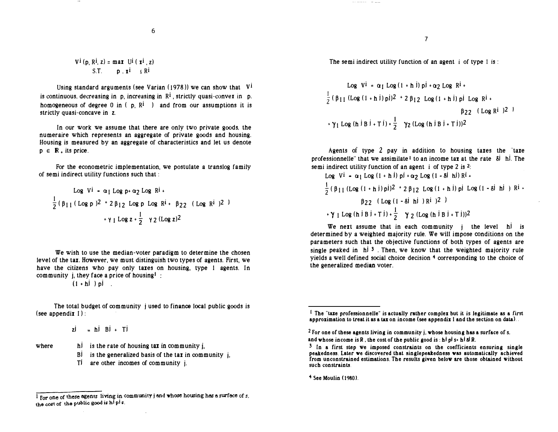$$
V^{\mathbf{i}}(p, R^{\mathbf{i}}, z) = \max U^{\mathbf{i}}(x^{\mathbf{i}}, z)
$$
  
S.T. 
$$
p, x^{\mathbf{i}} \leq R^{\mathbf{i}}
$$

Using standard arguments (see Varian (1978)) we can show that  $V^{\dagger}$ is continuous, decreasing in  $p$ , increasing in  $R<sup>i</sup>$ , strictly quasi-conver in  $p$ . homogeneous of degree  $0$  in ( $p$ ,  $R^i$ ) and from our assumptions it is strictly quasi-concave in z.

In our work we assume that there are only two private goods. the numeraire which represents an aggregate of private goods and housing. Housing is measured by an aggregate of characteristics and let us denote  $p \in \mathbb{R}$ , its price.

For the econometric implementation, we postulate a translog family of semi indirect utility functions such that :

Log VI = 
$$
\alpha_1 \text{ Log } p + \alpha_2 \text{ Log } R^i +
$$
  
\n $\frac{1}{2} (\beta_{11} (\text{Log } p)^2 + 2 \beta_{12} \text{ Log } p \text{ Log } R^i + \beta_{22} (\text{Log } R^i)^2)$   
\n $+ \gamma_1 \text{ Log } z + \frac{1}{2} \gamma_2 (\text{Log } z)^2$ 

We wish to use the median-voter paradigm to determine the chosen level of the tax. However, we must distinguish two types of agents. First, we have the citizens who pay only taxes on housing, type 1 agents. In community j, they face a price of housing!:

 $(1 + h)$   $\overrightarrow{h}$ 

The total budget of community j used to finance local public goods is (see appendix I) :

 $zj = hi Bi + Ti$ 

where

h<sup>j</sup> is the rate of housing tax in community j,

- $B^j$  is the generalized basis of the tax in community i.
- Ti are other incomes of community j.

The semi indirect utility function of an agent i of type 1 is:

Log Vi = 
$$
\alpha_1 \text{ Log } (1 + h \text{ } i)
$$
 pi +  $\alpha_2 \text{ Log } R^i$  +  
\n $\frac{1}{2} (\beta_{11} (\text{Log } (1 + h \text{ } i)) p)^2 + 2 \beta_{12} \text{ Log } (1 + h \text{ } i)$  pi Log Ri +  
\n $\beta_{22} (\text{Log } R^i)^2$   
\n+  $\gamma_1 \text{ Log } (h \text{ } i B \text{ } i + T \text{ } i) + \frac{1}{2} \gamma_2 (\text{Log } (h \text{ } i B \text{ } i + T \text{ } i))^2$ 

Agents of type 2 pay in addition to housing taxes the "taxe professionnelle" that we assimilate 1 to an income tax at the rate Si hi. The semi indirect utility function of an agent i of type 2 is  $2$ :

Log Vi = 
$$
\alpha_1 \text{ Log } (1 + h \text{ } i)
$$
 pi +  $\alpha_2 \text{ Log } (1 - 8i \text{ } h \text{ } i)$  Ri +  
\n $\frac{1}{2} (\beta_{11} (\text{Log } (1 + h \text{ } i)) p)^2 + 2 \beta_{12} \text{ Log } (1 + h \text{ } i)$  pi Log (1 - 8i \text{ } h \text{ } i) Ri +  
\n $\beta_{22} (\text{Log } (1 - 8i \text{ } h \text{ } i)$  Ri + 2)  
\n+  $\gamma_1 \text{ Log } (h \text{ } i \text{ B } i + T \text{ } i) + \frac{1}{2} \gamma_2 (\text{Log } (h \text{ } i \text{ B } i + T \text{ } i))$ 2

We next assume that in each community j the level hi is determined by a weighted majority rule. We will impose conditions on the parameters such that the objective functions of both types of agents are single peaked in  $\hbar$   $\hbar$  3. Then, we know that the weighted majority rule yields a well defined social choice decision  $4$  corresponding to the choice of the generalized median voter.

 $4$  See Moulin (1980).

 $1$  For one of these egents living in community j and whose housing has a surface of s, the cost of the public good is hipis.

 $<sup>I</sup>$  The "taxe professionnelle" is actually rather complex but it is legitimate as a first</sup> approximation to treat it as a tax on income (see appendix I and the section on data) ..

 $2$  For one of these agents living in community j, whose housing has a surface of s. and whose income is R, the cost of the public good is: hi pi s+ hi 8l R.

<sup>&</sup>lt;sup>3</sup> In a first step we imposed constraints on the coefficients ensuring single peakedness. Later we discovered that singlepeakedness was automatically achieved from unconstrained estimations. The results given belov are those obtained without such constraints.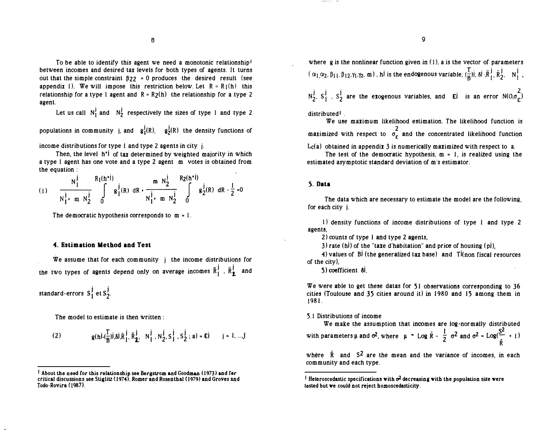To be able to identify this agent we need a monotonic relationship1 between incomes and desired tax levels for both types of agents. It turns out that the simple constraint  $\beta_{22} = 0$  produces the desired result (see appendix 1). We will impose this restriction below. Let  $R = R_1(h)$  this relationship for a type 1 agent and  $R = R_2(h)$  the relationship for a type 2 agent.

Let us call  $N_1^j$  and  $N_2^j$  respectively the sizes of type 1 and type 2

populations in community j, and  $g_1^1(R)$ ,  $g_2^1(R)$  the density functions of

income distributions for type I and type 2 agents in city j .

Then, the level  $h^*$  of tax determined by weighted majority in which a type I agent has one vote and a type 2 agent m votes is obtained from the equation :

|                                           | $R_1(h^{*j})$           | $m N_2^{\dagger}$ | $R_2(h^*I)$ |                                                             |
|-------------------------------------------|-------------------------|-------------------|-------------|-------------------------------------------------------------|
| $N_1^{\frac{1}{2}}$ m $N_2^{\frac{1}{2}}$ | $g_1^{\dagger}(R)$ dR + | $N_1^j$ m $N_2^j$ |             | <b>1</b> $\left[\frac{1}{2}(R) dR - \frac{1}{2} = 0\right]$ |

The democratic hypothesis corresponds to  $m = 1$ .

### 4. Estimation Method and Test

We assume that for each community i the income distributions for the two types of agents depend only on average incomes  $\bar{\text{R}}_1^{\text{j}}$  ,  $\bar{\text{R}}_2^{\text{j}}$  and

standard-errors  $S_1^{\dagger}$  et  $S_2^{\dagger}$ .

The model to estimate is then written :

(2) 
$$
g(h^{j}(\frac{T}{B})^{j},\delta^{j},\bar{R}_{1}^{j},\bar{R}_{2}^{j}, N_{1}^{j},N_{2}^{j},S_{1}^{j},S_{2}^{j};a) = \varepsilon j \qquad j = 1,...,J
$$

where g is the nonlinear function given in (I), a is the vector of parameters  $\alpha_1,\alpha_2,\beta_{11},\beta_{12},\gamma_1,\gamma_2,$  m), hi is the endogenous variable,  $(\frac{T}{B})$ i,  $\delta$ i,  $\bar{R}_1^{\;\;\dot{\bar{J}}}$ ,  $\bar{R}_2^{\;\dot{\bar{J}}}$ ,  $\bar{N}_1^{\;\dot{\bar{J}}}$ 

 $N_2^j$ ,  $S_1^j$  ,  $S_2^j$  are the exogenous variables, and  $\epsilon$  is an error  $N(0,\sigma_{\epsilon}^2)$ 

distributed<sup>1</sup>.

We use maximum likelihood estimation. The likelihood function is maximized with respect to  $\sigma_{\varepsilon}^2$  and the concentrated likelihood function

 $L<sub>c</sub>(a)$  obtained in appendix 3 is numerically maximized with respect to a.

The test of the democratic hypothesis,  $m = 1$ , is realized using the estimated asymptotic standard deviation of m's estimator.

# 5. Data

The data which are necessary to estimate the model are the following, for each city j.

I) density functions of income distributions of type I and type 2 agents,

2) counts of type 1 and type 2 agents,

3) rate (h) of the "taxe d'habitation" and price of housing  $\left(\frac{1}{2}\right)$ ,

4) values of B<sub>i</sub> (the generalized tax base) and T<sup>j</sup>(non fiscal resources of the city),

5) coefficient  $\delta$ .

We were able to get these datas for  $51$  observations corresponding to 36 cities (Toulouse and 35 cities around it) in 1980 and 15 among them in 1981.

#### S. 1 Distributions of income

We make the assumption that incomes are log-normally distributed with parameters  $\mu$  and  $\sigma^2$ , where  $\mu = \text{Log } \bar{R} - \frac{1}{2} \sigma^2$  and  $\sigma^2 = \text{Log}(\frac{S^2}{I} + I)$ R

where  $\bar{R}$  and  $S^2$  are the mean and the variance of incomes, in each community and each type.

I About the need for this relationship see Bergstrom and Goodman (1973) and for critical discussions see Stiglitz (1974). Romer and Rosenthal (1979) and Groves and Todo-Rovira (1987).

I Heteroscedastic specifications with  $\sigma^2$  decreasing with the population size were tested but we could not reject homoscedasticity.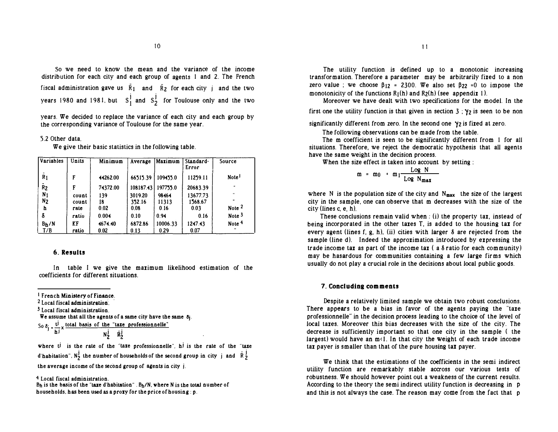so we need to know the mean and the variance of the income distribution for each city and each group of agents I and 2. The French fiscal administration gave us  $\bar{R}_1$  and  $\bar{R}_2$  for each city j and the two years 1980 and 1981, but  $S_1^j$  and  $S_2^j$  for Toulouse only and the two

years. We decided to replace the variance of each city and each group by the corresponding variance of Toulouse for the same year.

#### 5.2 Other data.

We give their basic statistics in the following table.

| Variables         | Units | Minimum  | Average   | Maximum  | Standard-<br>Error | Source               |
|-------------------|-------|----------|-----------|----------|--------------------|----------------------|
| $\overline{R}_1$  | F     | 44262.00 | 66515.39  | 109455.0 | 11259.11           | Note <sup>1</sup>    |
| $\tilde{R}_2$     | F     | 74372.00 | 108187.43 | 197755.0 | 20683.39           | $\ddot{\phantom{a}}$ |
| N <sub>1</sub>    | count | 139      | 3019.20   | 98464    | 13677.73           | $\ddot{\phantom{a}}$ |
| N <sub>2</sub>    | count | 18       | 352.16    | 11313    | 1568.67            | $\bullet$            |
| h                 | rate  | 0.02     | 0.08      | 0.16     | 0.03               | Note <sup>2</sup>    |
| δ                 | ratio | 0.004    | 0.10      | 0.94     | 0.16               | Note <sup>3</sup>    |
| B <sub>h</sub> /N | KF    | 4674.40  | 6872.86   | 10006.33 | 1247.43            | Note <sup>4</sup>    |
| T/B               | ratio | 0.02     | 0.13      | 0.29     | 0.07               |                      |

# 6. Results

In table I we give the maximum likelihood estimation of the coefficients for different situations.

I French Ministery of Finance.

<sup>2</sup> Local fiscal administration.

3 Local fiscal administration.

We assume that all the agents of a same city have the same  $\delta_i$ .

So  $\delta_i$   $\sim$   $\mu$  total basis of the "taxe professionnelle"

$$
N_2^j \quad \bar{R}_2^j
$$

where  $t^j$  is the rate of the "taxe professionnelle", hi is the rate of the "taxe d'habitation",  $N_2^j$  the number of households of the second group in city j and  $\bar{R}_2^j$ the average income of the second group of agents in city i.

4 Local fiscal administration.

 $B_h$  is the basis of the "taxe d'habitation" .  $B_h/N$ , where N is the total number of households. has been used as a proxy for the price of housing : p.

The utility function is defined up to a monotonic increasing transformation. Therefore a parameter may be arbitrarily fixed to a non zero value ; we choose  $\beta_{12} = 2300$ . We also set  $\beta_{22} = 0$  to impose the monotonicity of the functions  $R_1(h)$  and  $R_2(h)$  (see appendix 1).

Moreover we have dealt with two specifications for the model. In the first one the utility function is that given in section  $3$ ;  $\gamma_2$  is seen to be non

significantly different from zero. In the second one  $\gamma_2$  is fixed at zero.

The fol1owing observations can be made from the table.

The m coefficient is seen to be significantly different from 1 for all situations. Therefore, we reject the democratic hypothesis that all agents have the same weight in the decision process.

When the size effect is taken into account by setting :

$$
m = m_0 + m_1 \frac{\text{Log } N}{\text{Log } N_{\text{max}}}
$$

where N is the population size of the city and  $N_{\text{max}}$  the size of the largest city in the sample, one can observe that m decreases with the size of the city (lines c, e, h).

These conclusions remain valid when: (i) the property tax, instead of being incorporated in the other taxes T, is added to the housing tax for every agent (lines f, g, h), (ii) cities with larger  $\delta$  are rejected from the sample (line d). Indeed the approximation introduced by expressing the trade income tax as part of the income tax  $(a \delta$  ratio for each community) may be hasardous for communities containing a few large firms which usually do not play a crucial role in the decisions about local public goods.

#### 7. Concluding comments

Despite a relatively limited sample we obtain two robust conclusions. There appears to be a bias in favor of the agents paying the "taxe professionnelle" in the decision process leading to the choice of the level of local taxes. Moreover this bias decreases with the size of the city. The decrease is sufficiently important so that one city in the sample ( the largest) would have an  $m<sub>1</sub>$ . In that city the weight of each trade income tax payer is smaller than that of the pure housing tax payer.

We think that the estimations of the coefficients in the semi indirect utility function are remarkably stable accross our various tests of robustness. We should however point out a weakness of the current results. According to the theory the semi indirect utility function is decreasing in p and this is not always the case. The reason may come from the fact that p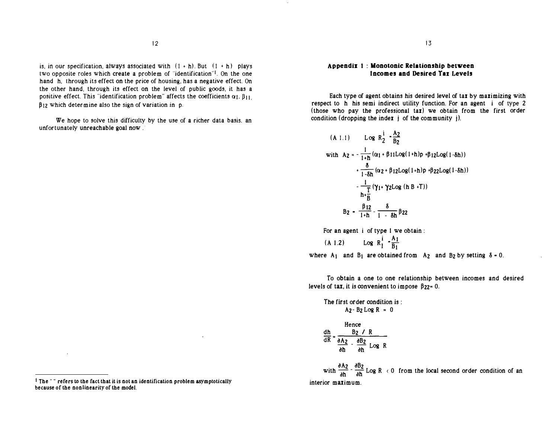is, in our specification, always associated with  $(1 + h)$ . But  $(1 + h)$  plays two opposite roles which create a problem of "identification"'· On the one hand h, through its effect on the price of housing, has a negative effect. On the other hand, through its effect on the level of public goods, it has a positive effect. This "identification problem" affects the coefficients  $\alpha_1$ ,  $\beta_{11}$ .  $\beta$ <sub>12</sub> which determine also the sign of variation in p.

We hope to solve this difficulty by the use of a richer data basis. an unfortunately unreachable goal now.

Each type of agent obtains his desired level of tax by maximizing with respect to h his semi indirect utility function. For an agent i of type 2 (those who pay the professional  $\text{tan}$ ) we obtain from the first order condition (dropping the index  $j$  of the community  $j$ ).

(A 1.1) Log 
$$
R_2^{\frac{1}{2}} \cdot \frac{A_2}{B_2}
$$
  
\nwith  $A_2 = -\frac{1}{1+h} (\alpha_1 + \beta_1 L \alpha_2 (1+h)p + \beta_1 z \log(1-\delta h))$   
\n $+ \frac{\delta}{1-\delta h} (\alpha_2 + \beta_1 z \log(1+h)p + \beta_2 z \log(1-\delta h))$   
\n $- \frac{1}{1+\delta h} (\gamma_1 + \gamma_2 \log (h B + T))$   
\n $B_2 = \frac{\beta_1 z}{1+h} - \frac{\delta}{1-h} \beta_2 z$ 

For an agent i of type I we obtain :

(A 1.2)  $\log R_1^i - \frac{A_1}{B_1}$ 

where  $A_1$  and  $B_1$  are obtained from  $A_2$  and  $B_2$  by setting  $\delta = 0$ .

To obtain a one to one relationship between incomes and desired levels of tax, it is convenient to impose  $\beta_{22} = 0$ .

The first order condition is :  $A_2 - B_2$  Log R = 0

Hence  
\n
$$
\frac{dh}{dR} = \frac{B_2 / R}{\frac{\partial A_2}{\partial h} - \frac{\partial B_2}{\partial h} \text{Log } R}
$$

with  $\frac{\partial A_2}{\partial h}$  -  $\frac{\partial B_2}{\partial h}$  Log R < 0 from the local second order condition of an interior maximum.

Appendix 1 : Monotonic Relationship between Incomes and Desired Tax Levels

I The " " refers 10 the fact that it is not an identification problem asymptotically because of the nonlinearity of the model.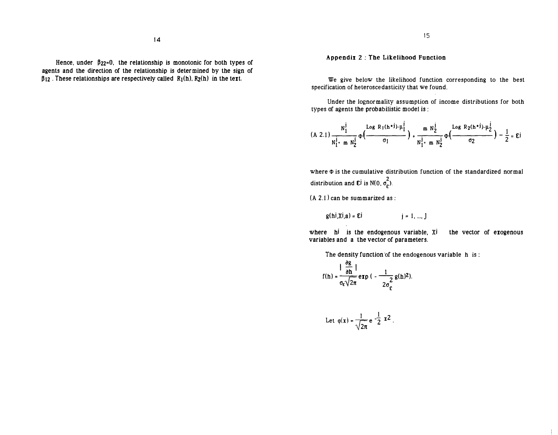Hence, under  $\beta_{22}=0$ , the relationship is monotonic for both types of agents and the direction of the relationship is determined by the sign of  $\beta_{12}$ . These relationships are respectively called  $R_1(h)$ ,  $R_2(h)$  in the text.

## Appendix 2 : The Likelihood Function

We give below the likelihood function corresponding to the best specification of heteroscedasticity that we found.

Under the lognormality assumption of income distributions for both types of agents the probabilistic model is :

$$
(A \ 2.1) \frac{N_1^j}{N_1^j \cdot m N_2^j} \Phi\left(\frac{\log R_1(h^{*}i) + \mu_1^j}{\sigma_1}\right) + \frac{m N_2^j}{N_1^j \cdot m N_2^j} \Phi\left(\frac{\log R_2(h^{*}i) + \mu_2^j}{\sigma_2}\right) - \frac{1}{2} = \mathbf{E}^j
$$

where  $\Phi$  is the cumulative distribution function of the standardized normal distribution and  $\mathbf{E}^{\mathbf{j}}$  is N(0,  $\sigma_{\mathbf{E}}^2$ ).

 $(A 2.1)$  can be summarized as:

 $g(hj,Xj,a) = Ej$   $j = 1, ..., J$ 

where hi is the endogenous variable, Xi the vector of exogenous variables and a the vector of parameters.

The density function of the endogenous variable h is :

$$
f(h) = \frac{|\frac{\partial g}{\partial h}|}{\sigma_{\varepsilon}\sqrt{2\pi}} \exp\big(-\frac{1}{2\sigma_{\varepsilon}^2}g(h)^2\big).
$$

Let 
$$
\varphi(x) = \frac{1}{\sqrt{2\pi}} e^{-\frac{1}{2} x^2}
$$
.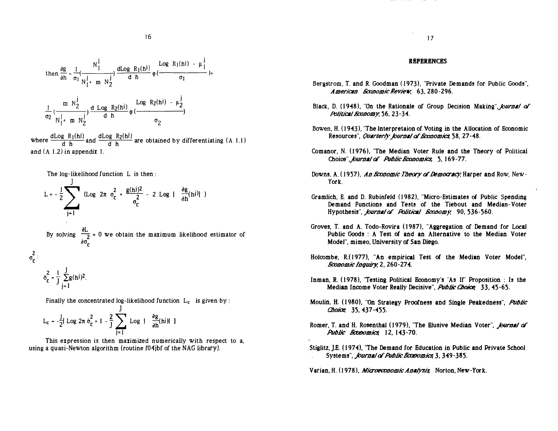

where  $\frac{d \text{Log } R_1(hi)}{d h}$  and  $\frac{d \text{Log } R_2(hi)}{d h}$  are obtained by differentiating (A 1.1) and (A 1.2) in appendix I.

The log-likelihood function L is then :

$$
L = -\frac{1}{2} \sum_{j=1}^{J} \text{ (Log } 2\pi \sigma_{\epsilon}^{2} + \frac{g(hj)^{2}}{\sigma_{\epsilon}^{2}} - 2 \text{ Log } |\frac{\partial g}{\partial h}(h^{j})| )
$$
  
By solving  $\frac{\partial L}{\partial \sigma_{\epsilon}^{2}} = 0$  we obtain the maximum likelihood estimator of  $\sigma_{\epsilon}^{2}$ :  

$$
\sigma_{\epsilon}^{2} = \frac{1}{J} \sum_{j=1}^{J} g(h^{j})^{2}.
$$

Finally the concentrated log-likelihood function  $L_c$  is given by :

$$
L_c = -\frac{J}{2} [\text{Log } 2\pi \theta_c^2 + 1 - \frac{2}{J} \sum_{j=1}^{J} \text{Log } | \theta_b^2(h^j) | ]
$$

This expression is then maximized numerically with respect to a, using a quasi-Newton algorithm (routine f04jbf of the NAG library).

### **REFERENCES**

- Bergstrom, T. and R. Goodman ( 1973), "Private Demands for Public Goods", American *Economic Review*, 63, 280-296.
- Black, D. (1948), "On the Rationale of Group Decision Making", fournal of Political Economy, 56, 23-34.
- Bowen, H. ( 1943), "The lnterpretaion of Voting in the Allocation of Economic Resources", Quarterly fournal of Economics 58, 27-48.
- Comanor, N. ( 1976), "The Median Voter Rule and the Theory of Political Choice", journal of Public Economics, 5, 169-77.
- Downs. A. (1957), An *Economic Theory of Democracy*, Harper and Row, New-York.
- Gramlich, E. and D. Rubinfeld ( 1982), "Micro-Estimates of Public Spending Demand Functions and Tests of the Tiebout and Median-Voter Hypothesis", *Journal of Political Goosomy*, 90, 536-560.
- Groves, T. and A. Todo-Rovira ( 1987), "Aggregation of Demand for Local Public Goods : A Test or and an Alternative to the Median Voter Model", mimeo, University of San Diego.
- Holcombe, R.(1977), "An empirical Test of the Median Voter Model", Economic Inquiry, 2, 260-274.
- Inman, R. ( 1978), 'Testing Political Economy's 'As If' Proposition : Is the Median Income Voter Really Decisive", Public Chaice 33, 45-65.
- Moulin, H. (1980), "On Strategy Proofness and Single Peakedness", Public Choice 35, 437-455.
- Romer, T. and H. Rosenthal (1979), "The Elusive Median Voter", fournal of Public *Boxoomics* 12, 143-70.
- Stiglitz, J.E. (1974), 'The Demand for Education in Public and Private School Systems", *fournal of Public Economics*, 3, 349-385.

Varian, H. (1978), Microeconomic Analysis Norton, New-York.